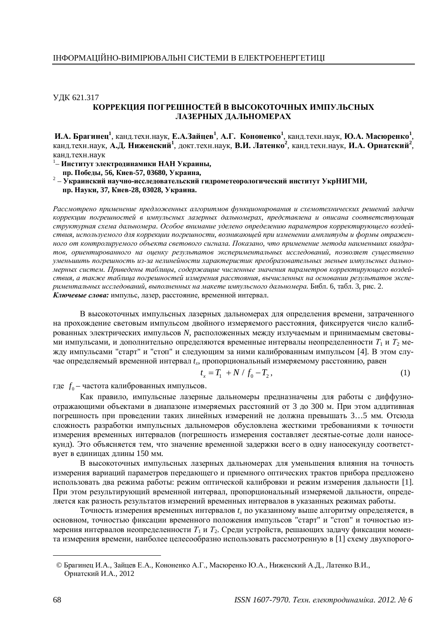## УДК 621.317 КОРРЕКЦИЯ ПОГРЕШНОСТЕЙ В ВЫСОКОТОЧНЫХ ИМПУЛЬСНЫХ **ЛАЗЕРНЫХ ДАЛЬНОМЕРАХ**

И.А. Брагинец<sup>1</sup>, канд.техн.наук, Е.А.Зайцев<sup>1</sup>, А.Г. Кононенко<sup>1</sup>, канд.техн.наук, Ю.А. Масюренко<sup>1</sup>, канд.техн.наук, А.Д. Ниженский<sup>1</sup>, докт.техн.наук, В.И. Латенко<sup>2</sup>, канд.техн.наук, И.А. Орнатский<sup>2</sup>, канд.техн.наук

<sup>1</sup> – Институт электродинамики НАН Украины,

**пр. Победы, 56, Киев-57, 03680, Украина,** 

<sup>2</sup> – Украинский научно-исследовательский гидрометеорологический институт УкрНИГМИ, **пр. Науки, 37, Киев-28, 03028, Украина.** 

Рассмотрено применение предложенных алгоритмов функционирования и схемотехнических решений задачи коррекции погрешностей в импульсных лазерных дальномерах, представлена и описана соответствующая структурная схема дальномера. Особое внимание уделено определению параметров корректирующего воздействия, используемого для коррекции погрешности, возникающей при изменении амплитуды и формы отражен*ɧɨɝɨɨɬɤɨɧɬɪɨɥɢɪɭɟɦɨɝɨɨɛɴɟɤɬɚɫɜɟɬɨɜɨɝɨɫɢɝɧɚɥɚ. ɉɨɤɚɡɚɧɨ, ɱɬɨɩɪɢɦɟɧɟɧɢɟɦɟɬɨɞɚɧɚɢɦɟɧɶɲɢɯɤɜɚɞɪɚ*тов, ориентированного на оценку результатов экспериментальных исследований, позволяет сушественно уменьшить погрешность из-за нелинейности характеристик преобразовательных звеньев импульсных дальномерных систем. Приведены таблицы, содержащие численные значения параметров корректирующего воздействия, а также таблица погрешностей измерения расстояния, вычисленных на основании результатов экспе*ɪɢɦɟɧɬɚɥɶɧɵɯɢɫɫɥɟɞɨɜɚɧɢɣ, ɜɵɩɨɥɧɟɧɧɵɯɧɚɦɚɤɟɬɟɢɦɩɭɥɶɫɧɨɝɨɞɚɥɶɧɨɦɟɪɚ.*Ȼɢɛɥ. 6, ɬɚɛɥ. 3, ɪɢɫ. 2. Ключевые слова: импульс, лазер, расстояние, временной интервал.

В высокоточных импульсных лазерных дальномерах для определения времени, затраченного на прохождение световым импульсом двойного измеряемого расстояния, фиксируется число калиброванных электрических импульсов N, расположенных между излучаемым и принимаемым световыми импульсами, и дополнительно определяются временные интервалы неопределенности  $T_1$  и  $T_2$  между импульсами "старт" и "стоп" и следующим за ними калиброванным импульсом [4]. В этом случае определяемый временной интервал  $t_x$ , пропорциональный измеряемому расстоянию, равен

$$
t_x = T_1 + N / f_0 - T_2, \tag{1}
$$

где  $f_0$ – частота калиброванных импульсов.

Как правило, импульсные лазерные дальномеры предназначены для работы с диффузноотражающими объектами в диапазоне измеряемых расстояний от 3 до 300 м. При этом аддитивная погрешность при проведении таких линейных измерений не должна превышать 3...5 мм. Отсюда сложность разработки импульсных дальномеров обусловлена жесткими требованиями к точности измерения временных интервалов (погрешность измерения составляет десятые-сотые доли наносекунд). Это объясняется тем, что значение временной задержки всего в одну наносекунду соответствует в единицах длины 150 мм.

В высокоточных импульсных лазерных дальномерах для уменьшения влияния на точность измерения вариаций параметров передающего и приемного оптических трактов прибора предложено использовать два режима работы: режим оптической калибровки и режим измерения дальности [1]. При этом результирующий временной интервал, пропорциональный измеряемой дальности, определяется как разность результатов измерений временных интервалов в указанных режимах работы.

Точность измерения временных интервалов  $t_x$  по указанному выше алгоритму определяется, в основном, точностью фиксации временного положения импульсов "старт" и "стоп" и точностью измерения интервалов неопределенности  $T_1$  и  $T_2$ . Среди устройств, решающих задачу фиксации момента измерения времени, наиболее целесообразно использовать рассмотренную в [1] схему двухпорого-

<sup>©</sup> Брагинец И.А., Зайцев Е.А., Кононенко А.Г., Масюренко Ю.А., Ниженский А.Д., Латенко В.И., Орнатский И.А., 2012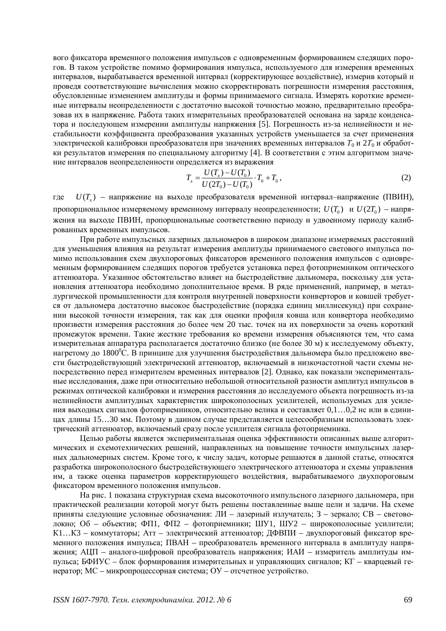вого фиксатора временного положения импульсов с одновременным формированием следящих порогов. В таком устройстве помимо формирования импульса, используемого для измерения временных интервалов, вырабатывается временной интервал (корректирующее воздействие), измерив который и проведя соответствующие вычисления можно скорректировать погрешности измерения расстояния, обусловленные изменением амплитуды и формы принимаемого сигнала. Измерять короткие временные интервалы неопределенности с достаточно высокой точностью можно, предварительно преобразовав их в напряжение. Работа таких измерительных преобразователей основана на заряде конденсатора и последующем измерении амплитуды напряжения [5]. Погрешность из-за нелинейности и нестабильности коэффициента преобразования указанных устройств уменьшается за счет применения электрической калибровки преобразователя при значениях временных интервалов Т<sub>0</sub> и 2Т<sub>0</sub> и обработки результатов измерения по специальному алгоритму [4]. В соответствии с этим алгоритмом значение интервалов неопределенности определяется из выражения

$$
T_x = \frac{U(T_x) - U(T_0)}{U(2T_0) - U(T_0)} \cdot T_0 + T_0,
$$
\n(2)

где  $U(T_x)$  – напряжение на выходе преобразователя временной интервал–напряжение (ПВИН), пропорциональное измеряемому временному интервалу неопределенности;  $U(T_0)$  и  $U(2T_0)$  – напряжения на выходе ПВИН, пропорциональные соответственно периоду и удвоенному периоду калиброванных временных импульсов.

При работе импульсных лазерных дальномеров в широком диапазоне измеряемых расстояний для уменьшения влияния на результат измерения амплитуды принимаемого светового импульса помимо использования схем двухпороговых фиксаторов временного положения импульсов с одновременным формированием следящих порогов требуется установка перед фотоприемником оптического аттенюатора. Указанное обстоятельство влияет на быстродействие дальномера, поскольку для установления аттеню атора необходимо дополнительное время. В ряде применений, например, в металлургической промышленности для контроля внутренней поверхности конверторов и ковшей требуется от дальномера достаточно высокое быстродействие (порядка единиц миллисекунд) при сохранении высокой точности измерения, так как для оценки профиля ковша или конвертора необходимо произвести измерения расстояния до более чем 20 тыс. точек на их поверхности за очень короткий промежуток времени. Такие жесткие требования ко времени измерения объясняются тем, что сама измерительная аппаратура располагается достаточно близко (не более 30 м) к исследуемому объекту, нагретому до 1800<sup>°</sup>С. В принципе для улучшения быстродействия дальномера было предложено ввести быстродействующий электрический аттенюатор, включаемый в низкочастотной части схемы непосредственно перед измерителем временных интервалов [2]. Однако, как показали экспериментальные исследования, даже при относительно небольшой относительной разности амплитуд импульсов в режимах оптической калибровки и измерения расстояния до исследуемого объекта погрешность из-за нелинейности амплитудных характеристик широкополосных усилителей, используемых для усиления выходных сигналов фотоприемников, относительно велика и составляет  $0,1...0,2$  нс или в единицах длины 15…30 мм. Поэтому в данном случае представляется целесообразным использовать электрический аттенюатор, включаемый сразу после усилителя сигнала фотоприемника.

Целью работы является экспериментальная оценка эффективности описанных выше алгоритмических и схемотехнических решений, направленных на повышение точности импульсных лазерных дальномерных систем. Кроме того, к числу задач, которые решаются в данной статье, относятся разработка широкополосного быстродействующего электрического аттеню атора и схемы управления им, а также оценка параметров корректирующего воздействия, вырабатываемого двухпороговым фиксатором временного положения импульсов.

На рис. 1 показана структурная схема высокоточного импульсного лазерного дальномера, при практической реализации которой могут быть решены поставленные выше цели и задачи. На схеме приняты следующие условные обозначения: ЛИ – лазерный излучатель;  $3$  – зеркало; СВ – световолокно; Об – объектив; ФП1, ФП2 – фотоприемники; ШУ1, ШУ2 – широкополосные усилители; К1...К3 – коммутаторы; Атт – электрический аттенюатор; ДФВПИ – двухпороговый фиксатор временного положения импульса; ПВАН – преобразователь временного интервала в амплитуду напряжения; АЦП – аналого-цифровой преобразователь напряжения; ИАИ – измеритель амплитуды импульса; БФИУС – блок формирования измерительных и управляющих сигналов; КГ – кварцевый генератор;  $MC$  – микропроцессорная система;  $OY$  – отсчетное устройство.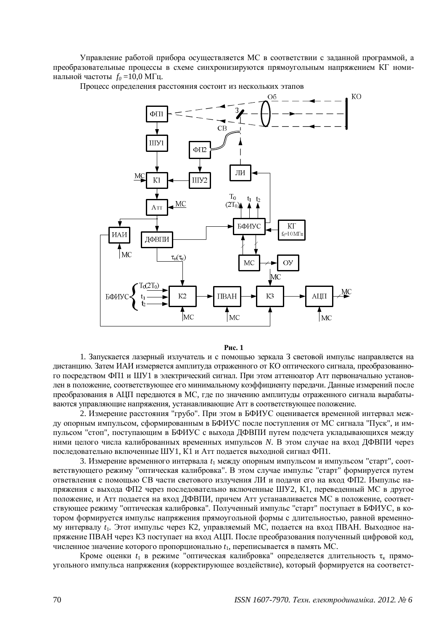Управление работой прибора осуществляется МС в соответствии с заданной программой, а преобразовательные процессы в схеме синхронизируются прямоугольным напряжением КГ номинальной частоты  $f_{0} = 10,0$  МГц.

Процесс определения расстояния состоит из нескольких этапов



## **Рис. 1**

1. Запускается лазерный излучатель и с помощью зеркала З световой импульс направляется на дистанцию. Затем ИАИ измеряется амплитуда отраженного от КО оптического сигнала, преобразованного посредством ФП1 и ШУ1 в электрический сигнал. При этом аттеню атор Атт первоначально установлен в положение, соответствующее его минимальному коэффициенту передачи. Данные измерений после преобразования в АЦП передаются в МС, где по значению амплитуды отраженного сигнала вырабатываются управляющие напряжения, устанавливающие Атт в соответствующее положение.

2. Измерение расстояния "грубо". При этом в БФИУС оценивается временной интервал между опорным импульсом, сформированным в БФИУС после поступления от МС сигнала "Пуск", и импульсом "стоп", поступающим в БФИУС с выхода ДФВПИ путем подсчета укладывающихся между ними целого числа калиброванных временных импульсов *N*. В этом случае на вхол ДФВПИ через последовательно включенные ШУ1, К1 и Атт подается выходной сигнал ФП1.

3. Измерение временного интервала  $t_1$  между опорным импульсом и импульсом "старт", соответствующего режиму "оптическая калибровка". В этом случае импульс "старт" формируется путем ответвления с помощью СВ части светового излучения ЛИ и подачи его на вход ФП2. Импульс напряжения с выхода ФП2 через последовательно включенные ШУ2, К1, переведенный МС в другое положение, и Атт подается на вход ДФВПИ, причем Атт устанавливается МС в положение, соответствующее режиму "оптическая калибровка". Полученный импульс "старт" поступает в БФИУС, в котором формируется импульс напряжения прямоугольной формы с длительностью, равной временному интервалу  $t_1$ . Этот импульс через К2, управляемый МС, подается на вход ПВАН. Выходное напряжение ПВАН через КЗ поступает на вход АЦП. После преобразования полученный цифровой код, численное значение которого пропорционально  $t_1$ , переписывается в память МС.

Кроме оценки  $t_1$  в режиме "оптическая калибровка" определяется длительность  $\tau_{\kappa}$  прямоугольного импульса напряжения (корректирующее воздействие), который формируется на соответст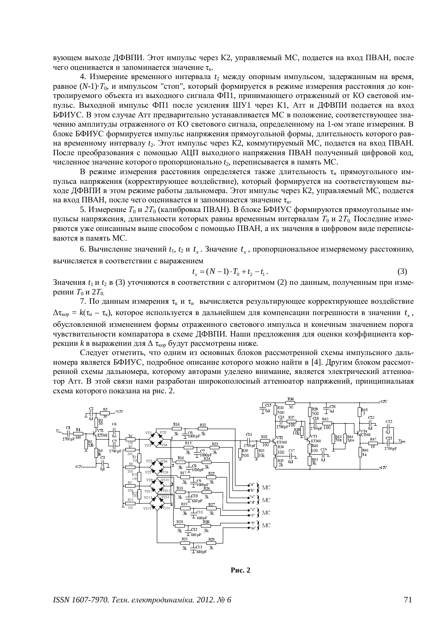вующем выходе ДФВПИ. Этот импульс через К2, управляемый МС, подается на вход ПВАН, после чего оценивается и запоминается значение  $\tau_{v}$ .

4. Измерение временного интервала  $t_2$  между опорным импульсом, задержанным на время, равное (N-1)· $T_0$ , и импульсом "стоп", который формируется в режиме измерения расстояния до контролируемого объекта из выходного сигнала ФП1, принимающего отраженный от КО световой импульс. Выходной импульс ФП1 после усиления ШУ1 через К1, Атт и ДФВПИ подается на вход БФИУС. В этом случае Атт предварительно устанавливается МС в положение, соответствующее значению амплитуды отраженного от КО светового сигнала, определенному на 1-ом этапе измерения. В блоке БФИУС формируется импульс напряжения прямоугольной формы, длительность которого равна временному интервалу  $t_2$ . Этот импульс через К2, коммутируемый МС, подается на вход ПВАН. После преобразования с помощью АЦП выходного напряжения ПВАН полученный цифровой код, численное значение которого пропорционально  $t_2$ , переписывается в память МС.

В режиме измерения расстояния определяется также длительность  $\tau_u$  прямоугольного импульса напряжения (корректирующее воздействие), который формируется на соответствующем выходе ДФВПИ в этом режиме работы дальномера. Этот импульс через К2, управляемый МС, подается на вход ПВАН, после чего оценивается и запоминается значение  $\tau_u$ .

5. Измерение *Т*<sub>0</sub> и 2*T*<sub>0</sub> (калибровка ПВАН). В блоке БФИУС формируются прямоугольные импульсы напряжения, длительности которых равны временным интервалам  $T_0$  и 2 $T_0$ . Последние измеряются уже описанным выше способом с помощью ПВАН, а их значения в цифровом виде переписываются в память МС.

6. Вычисление значений  $t_1$ ,  $t_2$  и  $t_x$ . Значение  $t_x$ , пропорциональное измеряемому расстоянию, вычисляется в соответствии с выражением

$$
t_x = (N - 1) \cdot T_0 + t_2 - t_1. \tag{3}
$$

Значения  $t_1$  и  $t_2$  в (3) уточняются в соответствии с алгоритмом (2) по данным, полученным при изме- $E<sub>O</sub>$ и 2 $T<sub>O</sub>$ 

7. По данным измерения  $\tau_k$  и  $\tau_u$  вычисляется результирующее корректирующее воздействие  $\Delta\tau_{\rm kop} = k(\tau_{\rm M} - \tau_{\rm k})$ , которое используется в дальнейшем для компенсации погрешности в значении  $t_{\rm x}$ , обусловленной изменением формы отраженного светового импульса и конечным значением порога чувствительности компаратора в схеме ДФВПИ. Наши предложения для оценки коэффициента коррекции  $k$  в выражении для  $\Delta \tau_{\text{kop}}$  будут рассмотрены ниже.

Следует отметить, что одним из основных блоков рассмотренной схемы импульсного дальномера является БФИУС, подробное описание которого можно найти в [4]. Другим блоком рассмотренной схемы дальномера, которому авторами уделено внимание, является электрический аттенюатор Атт. В этой связи нами разработан широкополосный аттеню атор напряжений, принципиальная схема которого показана на рис. 2.



Pис. 2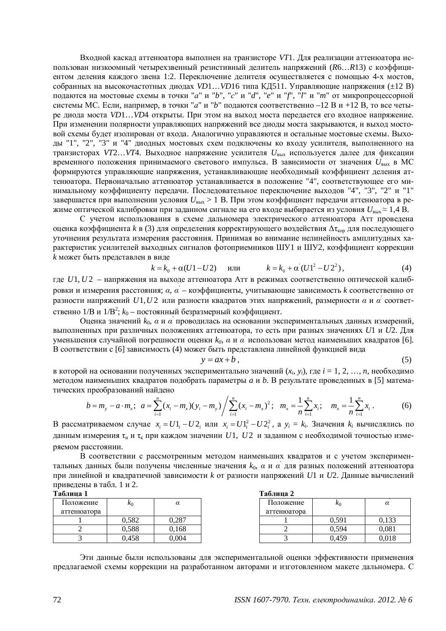Входной каскад аттенюатора выполнен на транзисторе VT1. Для реализации аттенюатора использован низкоомный четырехзвенный резистивный делитель напряжений (R6...R13) с коэффициентом деления каждого звена 1:2. Переключение делителя осуществляется с помощью 4-х мостов, собранных на высокочастотных диодах *VD1...VD16* типа КД511. Управляющие напряжения (±12 В) подаются на мостовые схемы в точки "a" и "b", "c" и "d", "e" и "f", "l" и "m" от микропроцессорной системы МС. Если, например, в точки "*а*" и "b" подаются соответственно -12 В и +12 В, то все четыре диода моста *VD1...VD4* открыты. При этом на выход моста передается его входное напряжение. При изменении полярности управляющих напряжений все диоды моста закрываются, и выход мостовой схемы будет изолирован от входа. Аналогично управляются и остальные мостовые схемы. Выходы "1", "2", "3" и "4" диодных мостовых схем подключены ко входу усилителя, выполненного на транзисторах *VT2...VT4*. Выходное напряжение усилителя  $U_{\text{max}}$  используется далее для фиксации временного положения принимаемого светового импульса. В зависимости от значения  $\hat{U}_{\text{\tiny{RKIX}}}$  в МС формируются управляющие напряжения, устанавливающие необходимый коэффициент деления аттенюатора. Первоначально аттенюатор устанавливается в положение "4", соответствующее его минимальному коэффициенту передачи. Последовательное переключение выходов "4", "3", "2" и "1" завершается при выполнении условия  $U_{\text{BMX}} > 1$  В. При этом коэффициент передачи аттеню атора в режиме оптической калибровки при заданном сигнале на его входе выбирается из условия  $U_{\text{max}} \approx 1.4 \text{ B}$ .

С учетом использования в схеме дальномера электрического аттеню атора Атт проведена <u>оценка коэффициента k в (3) для определения корректирующего воздействия Δτ<sub>κορ</sub> для последующего</u> уточнения результата измерения расстояния. Принимая во внимание нелинейность амплитудных характеристик усилителей выходных сигналов фотоприемников ШУ1 и ШУ2, коэффициент коррекции *k* может быть представлен в виде

$$
k = k_0 + \alpha (U1 - U2)
$$
 *u*ли  $k = k_0 + \alpha'(U1^2 - U2^2)$ , (4)

где *U1, U2* – напряжения на выходе аттеню атора Атт в режимах соответственно оптической калибровки и измерения расстояния; а, а – коэффициенты, учитывающие зависимость к соответственно от разности напряжений  $U1, U2$  или разности квадратов этих напряжений, размерности  $\alpha$  и  $\alpha^{'}$  соответственно 1/В и 1/В<sup>2</sup>;  $k_0$  – постоянный безразмерный коэффициент.

Оценка значений k<sub>0</sub>, α и α<sup>'</sup> проводилась на основании экспериментальных данных измерений, выполненных при различных положениях аттенюатора, то есть при разных значениях *U1* и *U2*. Для уменьшения случайной погрешности оценки k<sub>0</sub>, а и а пспользован метод наименьших квадратов [6]. В соответствии с [6] зависимость (4) может быть представлена линейной функцией вида

$$
y = ax + b \tag{5}
$$

в которой на основании полученных экспериментально значений (x<sub>i</sub>, y<sub>i</sub>), где  $i = 1, 2, ..., n$ , необходимо методом наименьших квадратов подобрать параметры *а* и *b*. В результате проведенных в [5] математических преобразований найдено

$$
b = m_{y} - a \cdot m_{x}; \ \ a = \sum_{i=1}^{n} (x_{i} - m_{x})(y_{i} - m_{y}) / \sum_{i=1}^{n} (x_{i} - m_{x})^{2}; \ \ m_{x} = \frac{1}{n} \sum_{i=1}^{n} x_{i}; \quad m_{x} = \frac{1}{n} \sum_{i=1}^{n} x_{i}.
$$
 (6)

В рассматриваемом случае  $x_i = U1_i - U2_i$  или  $x_i = U1_i^2 - U2_i^2$ , а  $y_i = k_i$ . Значения  $k_i$  вычислялись по данным измерения  $\tau_{\text{H}}$  и  $\tau_{\text{k}}$  при каждом значении  $U1$ ,  $U2$  и заданном с необходимой точностью измеряемом расстоянии.

В соответствии с рассмотренным методом наименьших квадратов и с учетом экспериментальных данных были получены численные значения  $k_0$ ,  $\alpha$  и  $\alpha^{'}$  для разных положений аттенюатора при линейной и квадратичной зависимости *k* от разности напряжений *U1 и U2*. Данные вычислений приведены в табл. 1 и 2.

| Таблица 1    |       |       |  | Таблица 2    |            |       |  |
|--------------|-------|-------|--|--------------|------------|-------|--|
| Положение    | $k_0$ | α     |  | Положение    | $\kappa_0$ | α     |  |
| аттеню атора |       |       |  | аттеню атора |            |       |  |
|              | 0.582 | 0.287 |  |              | 0.591      | 0.133 |  |
|              | 0.588 | 0.168 |  |              | 0.594      | 0,081 |  |
|              | 0.458 | 0.004 |  |              | 0.459      | 0,018 |  |

Эти данные были использованы для экспериментальной оценки эффективности применения предлагаемой схемы коррекции на разработанном авторами и изготовленном макете дальномера. С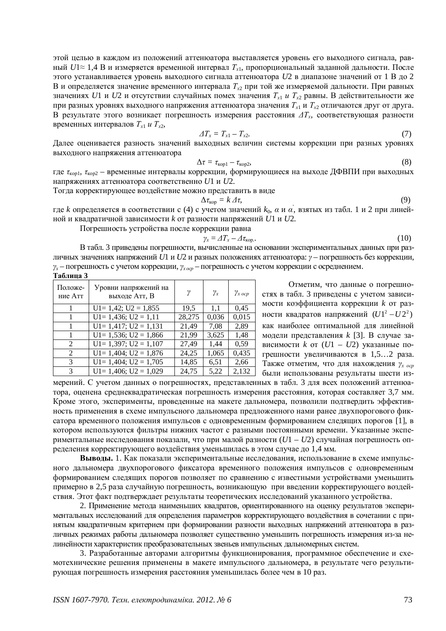этой целью в каждом из положений аттенюатора выставляется уровень его выходного сигнала, равный *U*1≈ 1,4 В и измеряется временной интервал T<sub>x1</sub>, пропорциональный заданной дальности. После этого устанавливается уровень выходного сигнала аттенюатора U2 в диапазоне значений от 1 В до 2 В и определяется значение временного интервала  $T_{x2}$  при той же измеряемой дальности. При равных значениях *U*1 и *U*2 и отсутствии случайных помех значения  $T_{x1}$  *и*  $T_{x2}$  равны. В действительности же при разных уровнях выходного напряжения аттеню атора значения  $T_{x1}$  и  $T_{x2}$  отличаются друг от друга. В результате этого возникает погрешность измерения расстояния  $\Delta T_x$ , соответствующая разности временных интервалов  $T_{x1}$  *и*  $T_{x2}$ ,

$$
\varDelta T_x = T_{x1} - T_{x2}.\tag{7}
$$

Далее оценивается разность значений выходных величин системы коррекции при разных уровнях выходного напряжения аттеню атора

$$
\Delta \tau = \tau_{\text{kop1}} - \tau_{\text{kop2}}.\tag{8}
$$

где  $\tau_{\text{kop1}}, \tau_{\text{kop2}}$  – временные интервалы коррекции, формирующиеся на выходе ДФВПИ при выходных напряжениях аттенюатора соответственно  $U1$  и  $U2$ .

Тогда корректирующее воздействие можно представить в виде

$$
\Delta \tau_{\text{kop}} = k \, \varDelta \tau,\tag{9}
$$

где *k* определяется в соответствии с (4) с учетом значений  $k_0$ , *а* и *а*, взятых из табл. 1 и 2 при линейной и квадратичной зависимости *k* от разности напряжений *U1* и *U2*.

Погрешность устройства после коррекции равна

$$
\gamma_x = \Delta T_x - \Delta \tau_{\text{kop.}}.\tag{10}
$$

В табл. 3 приведены погрешности, вычисленные на основании экспериментальных данных при различных значениях напряжений U1 и U2 и разных положениях аттенюатора:  $\gamma$  – погрешность без коррекции,  $\gamma_x$  – погрешность с учетом коррекции,  $\gamma_{x, \alpha, \alpha}$  – погрешность с учетом коррекции с осреднением. **Таблина** 3

| Положе-<br>ние Атт          | Уровни напряжений на<br>выходе Атт, В | γ      | $\gamma_x$ | $\gamma_{x \, ocp}$ |
|-----------------------------|---------------------------------------|--------|------------|---------------------|
|                             | $U1 = 1,42$ ; $U2 = 1,855$            | 19.5   | 1,1        | 0.45                |
|                             | $U1 = 1,436$ ; $U2 = 1,11$            | 28,275 | 0,036      | 0,015               |
|                             | $U1 = 1,417$ ; $U2 = 1,131$           | 21,49  | 7,08       | 2.89                |
|                             | $U1 = 1,536$ ; $U2 = 1,866$           | 21,99  | 3,625      | 1,48                |
| 2                           | $U1 = 1,397$ ; $U2 = 1,107$           | 27,49  | 1,44       | 0.59                |
| $\mathcal{D}_{\mathcal{L}}$ | $U1 = 1,404$ ; $U2 = 1,876$           | 24,25  | 1,065      | 0,435               |
| 3                           | $U1 = 1,404$ ; $U2 = 1,705$           | 14,85  | 6,51       | 2,66                |
| 3                           | $U1 = 1,406$ ; $U2 = 1,029$           | 24,75  | 5,22       | 2,132               |

Отметим, что данные о погрешностях в табл. 3 приведены с учетом зависимости коэффициента коррекции *k* от разности квадратов напряжений  $(U1^2-U2^2)$ как наиболее оптимальной для линейной модели представления *k* [3]. В случае зависимости  $k$  от  $(U1 - U2)$  указанные погрешности увеличиваются в 1,5…2 раза. Также отметим, что для нахождения  $\gamma_{x \text{ ocp}}$ были использованы результаты шести из-

мерений. С учетом данных о погрешностях, представленных в табл. 3 для всех положений аттенюатора, оценена среднеквадратическая погрешность измерения расстояния, которая составляет 3,7 мм. Кроме этого, эксперименты, проведенные на макете дальномера, позволили подтвердить эффективность применения в схеме импульсного дальномера предложенного нами ранее двухпорогового фиксатора временного положения импульсов с одновременным формированием следящих порогов [1], в котором используются фильтры нижних частот с разными постоянными времени. Указанные экспериментальные исследования показали, что при малой разности ( $U1 - U2$ ) случайная погрешность определения корректирующего воздействия уменьшилась в этом случае до 1,4 мм.

**Выволы.** 1. Как показали экспериментальные исследования, использование в схеме импульсного дальномера двухпорогового фиксатора временного положения импульсов с одновременным формированием следящих порогов позволяет по сравнению с известными устройствами уменьшить примерно в 2,5 раза случайную погрешность, возникающую при введении корректирующего воздействия. Этот факт подтверждает результаты теоретических исследований указанного устройства.

2. Применение метода наименьших квадратов, ориентированного на оценку результатов экспериментальных исследований для определения параметров корректирующего воздействия в сочетании с принятым квадратичным критерием при формировании разности выходных напряжений аттеню атора в различных режимах работы дальномера позволяет существенно уменьшить погрешность измерения из-за нелинейности характеристик преобразовательных звеньев импульсных дальномерных систем.

3. Разработанные авторами алгоритмы функционирования, программное обеспечение и схемотехнические решения применены в макете импульсного дальномера, в результате чего результирующая погрешность измерения расстояния уменьшилась более чем в 10 раз.